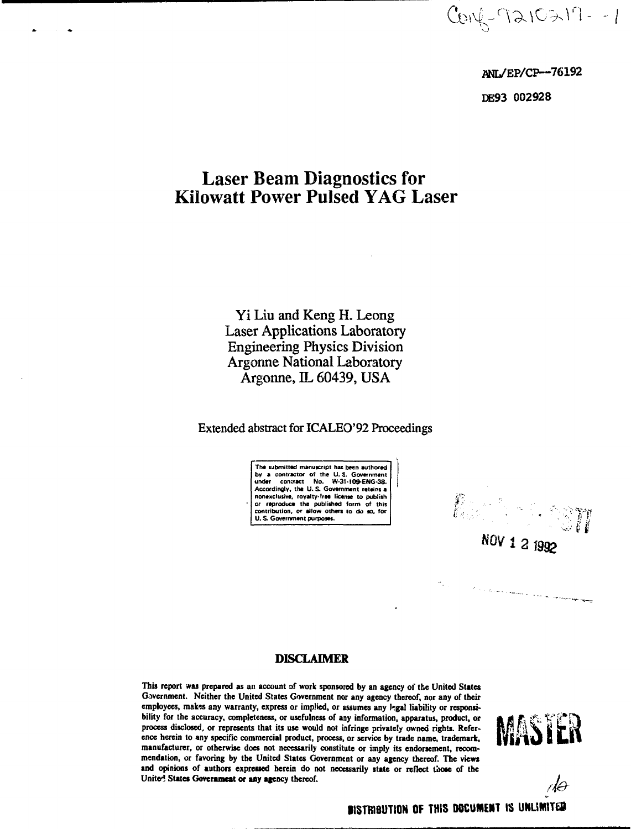**- /**

**aNL/EP/CP~76192 DE93 002928**

# **Laser Beam Diagnostics for Kilowatt Power Pulsed YAG Laser**

Yi Liu and Keng H. Leong Laser Applications Laboratory Engineering Physics Division Argonne National Laboratory Argonne, IL 60439, USA

**Extended abstract for ICALEO'92 Proceedings**

**The submitted manuscript has been authored** by a contractor of the U.S. Government<br>under contract No. W-31-10<del>9-</del>ENG-38.<br>Accordingly, the U.S. Government reteins a **nonexclusive, royalty-free license to publish or reproduce the published form of this contribution, or allow others 10 do so, for U. S. Government purposes.**

 $\begin{picture}(20,20) \put(0,0){\vector(1,0){30}} \put(15,0){\vector(1,0){30}} \put(15,0){\vector(1,0){30}} \put(15,0){\vector(1,0){30}} \put(15,0){\vector(1,0){30}} \put(15,0){\vector(1,0){30}} \put(15,0){\vector(1,0){30}} \put(15,0){\vector(1,0){30}} \put(15,0){\vector(1,0){30}} \put(15,0){\vector(1,0){30}} \put(15,0){\vector(1,0){30}} \put(15,0){\vector(1$ NOV 1 2 1992

 $\hat{J}$  , and the contract of the contract of the contract of the contract of the contract of the contract of the contract of the contract of the contract of the contract of the contract of the contract of the contract of

#### **DISCLAIMER**

This report was prepared as an account of work sponsored by an agency of the United States Government. Neither the United States Government nor any agency thereof, nor any of their employees, makes any warranty, express or implied, or assumes any hgal liability or responsibility for the accuracy, completeness, or usefulness of any information, apparatus, product, or process disclosed, or represents that its use would not infringe privately owned rights. Reference herein to any specific commercial product, process, or service by trade name, trademark, manufacturer, or otherwise does not necessarily constitute or imply its endorsement, recommendation, or favoring by the United States Government or any agency thereof. The views **and** opinions of authors expressed herein do not necessarily state or reflect those of the United **States Goverameat or any agency** thereof.



rlə

**BISTRIBUTION OF THIS DOCUMENT IS UNLIMITED**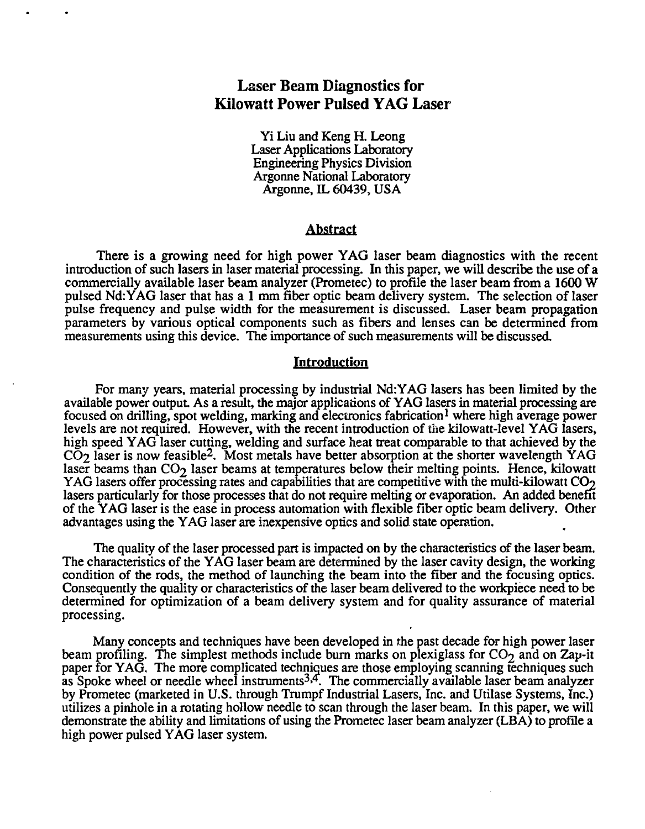## Laser Beam Diagnostics for Kilowatt Power Pulsed YAG Laser

Yi Liu and Keng H. Leong Laser Applications Laboratory Engineering Physics Division Argonne National Laboratory Argonne, IL 60439, USA

#### Abstract

There is a growing need for high power YAG laser beam diagnostics with the recent introduction of such lasers in laser material processing. In this paper, we will describe the use of a commercially available laser beam analyzer (Prometec) to profile the laser beam from a 1600 W pulsed Nd:YAG laser that has a 1 mm fiber optic beam delivery system. The selection of laser pulse frequency and pulse width for the measurement is discussed. Laser beam propagation parameters by various optical components such as fibers and lenses can be determined from measurements using this device. The importance of such measurements will be discussed.

#### **Introduction**

For many years, material processing by industrial Nd:YAG lasers has been limited by the available power output. As a result, the major applications of YAG lasers in material processing are focused on drilling, spot welding, marking and electronics fabrication<sup>1</sup> where high average power levels are not required. However, with the recent introduction of die kilowatt-level YAG lasers, high speed YAG laser cutting, welding and surface heat treat comparable to that achieved by the CO<sub>2</sub> laser is now feasible<sup>2</sup>. Most metals have better absorption at the shorter wavelength YAG laser beams than  $CO<sub>2</sub>$  laser beams at temperatures below their melting points. Hence, kilowatt YAG lasers offer processing rates and capabilities that are competitive with the multi-kilowatt  $CO<sub>2</sub>$ lasers particularly for those processes that do not require melting or evaporation. An added benefit of the YAG laser is the ease in process automation with flexible fiber optic beam delivery. Other advantages using the YAG laser are inexpensive optics and solid state operation.

The quality of the laser processed part is impacted on by the characteristics of the laser beam. The characteristics of the YAG laser beam are determined by the laser cavity design, the working condition of the rods, the method of launching the beam into the fiber and the focusing optics. Consequently the quality or characteristics of the laser beam delivered to the workpiece need to be determined for optimization of a beam delivery system and for quality assurance of material processing.

Many concepts and techniques have been developed in the past decade for high power laser beam profiling. The simplest methods include burn marks on plexiglass for  $CO<sub>2</sub>$  and on Zap-it paper for YAG. The more complicated techniques are those employing scanning techniques such as Spoke wheel or needle wheel instruments $^{3,4}$ . The commercially available laser beam analyzer by Prometec (marketed in U.S. through Trumpf Industrial Lasers, Inc. and Utilase Systems, Inc.) utilizes a pinhole in a rotating hollow needle to scan through the laser beam. In this paper, we will demonstrate the ability and limitations of using the Prometec laser beam analyzer (LBA) to profile a high power pulsed YAG laser system.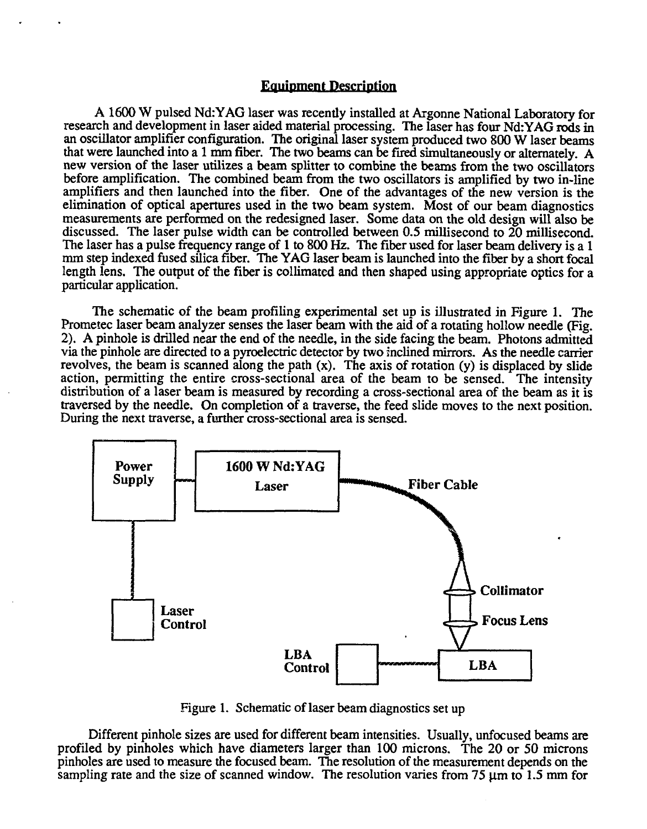#### Equipment Description

A 1600 W pulsed Nd:YAG laser was recently installed at Argonne National Laboratory for research and development in laser aided material processing. The laser has four Nd:YAG rods in an oscillator amplifier configuration. The original laser system produced two 800 W laser beams that were launched into a 1 mm fiber. The two beams can be fired simultaneously or alternately. A new version of the laser utilizes a beam splitter to combine the beams from the two oscillators before amplification. The combined beam from the two oscillators is amplified by two in-line amplifiers and then launched into the fiber. One of the advantages of the new version is the elimination of optical apertures used in the two beam system. Most of our beam diagnostics measurements are performed on the redesigned laser. Some data on the old design will also be discussed. The laser pulse width can be controlled between 0.5 millisecond to 20 millisecond. The laser has a pulse frequency range of 1 to 800 Hz. The fiber used for laser beam delivery is a 1 mm step indexed fused silica fiber. The YAG laser beam is launched into the fiber by a short focal length lens. The output of the fiber is collimated and then shaped using appropriate optics for a particular application.

The schematic of the beam profiling experimental set up is illustrated in Figure 1. The Prometec laser beam analyzer senses the laser beam with the aid of a rotating hollow needle (Fig. 2). A pinhole is drilled near the end of the needle, in the side facing the beam. Photons admitted via the pinhole are directed to a pyroelectric detector by two inclined mirrors. As the needle carrier revolves, the beam is scanned along the path  $(x)$ . The axis of rotation  $(y)$  is displaced by slide action, permitting the entire cross-sectional area of the beam to be sensed. The intensity distribution of a laser beam is measured by recording a cross-sectional area of the beam as it is traversed by the needle. On completion of a traverse, the feed slide moves to the next position. During the next traverse, a further cross-sectional area is sensed.



Figure 1. Schematic of laser beam diagnostics set up

Different pinhole sizes are used for different beam intensities. Usually, unfocused beams are profiled by pinholes which have diameters larger than 100 microns. The 20 or 50 microns pinholes are used to measure the focused beam. The resolution of the measurement depends on the sampling rate and the size of scanned window. The resolution varies from 75  $\mu$ m to 1.5 mm for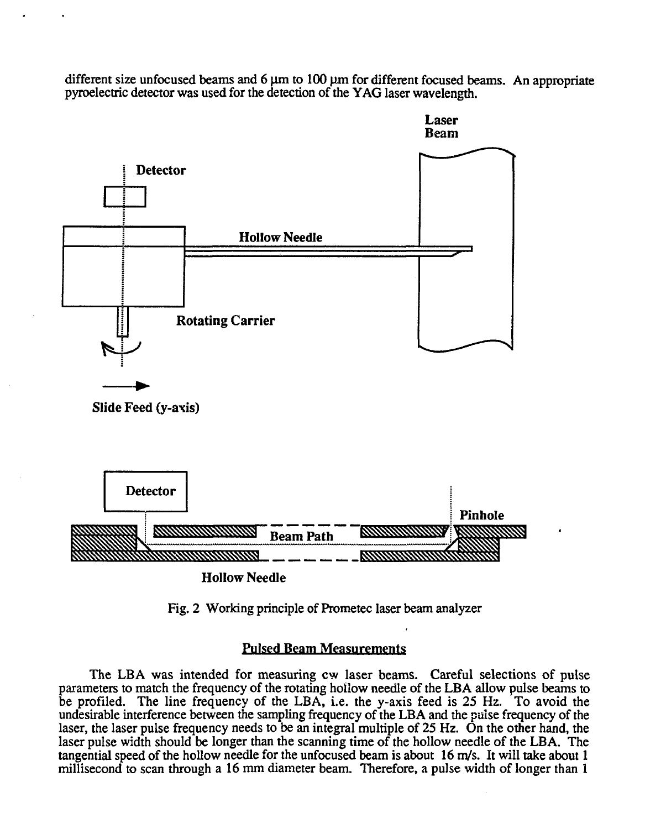different size unfocused beams and  $6 \mu m$  to  $100 \mu m$  for different focused beams. An appropriate pyroelectric detector was used for the detection of the YAG laser wavelength.



Fig. 2 Working principle of Prometec laser beam analyzer

### **Pulsed Beam Measurements**

The LBA was intended for measuring cw laser beams. Careful selections of pulse parameters to match the frequency of the rotating hollow needle of the LBA allow pulse beams to be profiled. The line frequency of the LBA, i.e. the y-axis feed is 25 Hz. To avoid the undesirable interference between the sampling frequency of the LBA and the pulse frequency of the laser, the laser pulse frequency needs to be an integral multiple of 25 Hz. On the other hand, the laser pulse width should be longer than the scanning time of the hollow needle of the LBA. The tangential speed of the hollow needle for the unfocused beam is about 16 m/s. It will take about 1 millisecond to scan through a 16 mm diameter beam. Therefore, a pulse width of longer than 1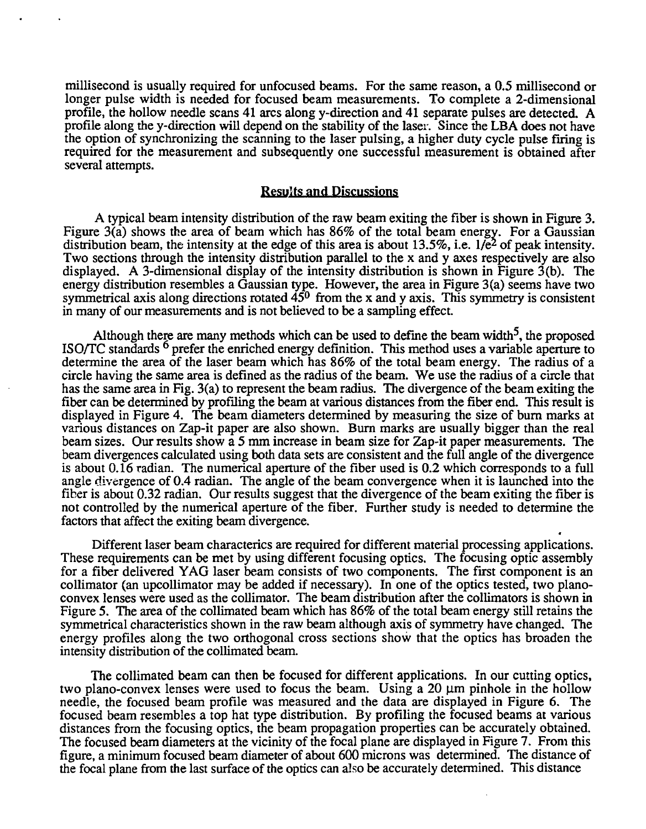millisecond is usually required for unfocused beams. For the same reason, a 0.5 millisecond or longer pulse width is needed for focused beam measurements. To complete a 2-dimensional profile, the hollow needle scans 41 arcs along y-direction and 41 separate pulses are detected. A profile along the y-direction will depend on the stability of the laser. Since the LBA does not have the option of synchronizing the scanning to the laser pulsing, a higher duty cycle pulse firing is required for the measurement and subsequently one successful measurement is obtained after several attempts.

#### Results and Discussions

A typical beam intensity distribution of the raw beam exiting the fiber is shown in Figure 3. Figure  $3(\hat{a})$  shows the area of beam which has 86% of the total beam energy. For a Gaussian distribution beam, the intensity at the edge of this area is about 13.5%, i.e.  $1/e^2$  of peak intensity. Two sections through the intensity distribution parallel to the x and y axes respectively are also displayed. A 3-dimensional display of the intensity distribution is shown in Figure  $3(b)$ . The energy distribution resembles a Gaussian type. However, the area in Figure 3(a) seems have two symmetrical axis along directions rotated  $45^{\circ}$  from the x and y axis. This symmetry is consistent in many of our measurements and is not believed to be a sampling effect.

Although there are many methods which can be used to define the beam width<sup>5</sup>, the proposed ISO/TC standards  $<sup>6</sup>$  prefer the enriched energy definition. This method uses a variable aperture to</sup> determine the area of the laser beam which has 86% of the total beam energy. The radius of a circle having the same area is defined as the radius of the beam. We use the radius of a circle that has the same area in Fig. 3(a) to represent the beam radius. The divergence of the beam exiting the fiber can be determined by profiling the beam at various distances from the fiber end. This result is displayed in Figure 4. The beam diameters determined by measuring the size of burn marks at various distances on Zap-it paper are also shown. Burn marks are usually bigger than the real beam sizes. Our results show a 5 mm increase in beam size for Zap-it paper measurements. The beam divergences calculated using both data sets are consistent and the full angle of the divergence is about 0.16 radian. The numerical aperture of the fiber used is 0.2 which corresponds to a full angle divergence of 0.4 radian. The angle of the beam convergence when it is launched into the fiber is about 0.32 radian. Our results suggest that the divergence of the beam exiting the fiber is not controlled by the numerical aperture of the fiber. Further study is needed to determine the factors that affect the exiting beam divergence.

Different laser beam characterics are required for different material processing applications. These requirements can be met by using different focusing optics. The focusing optic assembly for a fiber delivered YAG laser beam consists of two components. The first component is an collimator (an upcollimator may be added if necessary). In one of the optics tested, two planoconvex lenses were used as the collimator. The beam distribution after the collimators is shown in Figure 5. The area of the collimated beam which has 86% of the total beam energy still retains the symmetrical characteristics shown in the raw beam although axis of symmetry have changed. The energy profiles along the two orthogonal cross sections show that the optics has broaden the intensity distribution of the collimated beam.

The collimated beam can then be focused for different applications. In our cutting optics, two plano-convex lenses were used to focus the beam. Using a 20  $\mu$ m pinhole in the hollow needle, the focused beam profile was measured and the data are displayed in Figure 6. The focused beam resembles a top hat type distribution. By profiling the focused beams at various distances from the focusing optics, the beam propagation properties can be accurately obtained. The focused beam diameters at the vicinity of the focal plane are displayed in Figure 7. From this figure, a minimum focused beam diameter of about 600 microns was determined. The distance of the focal plane from the last surface of the optics can also be accurately determined. This distance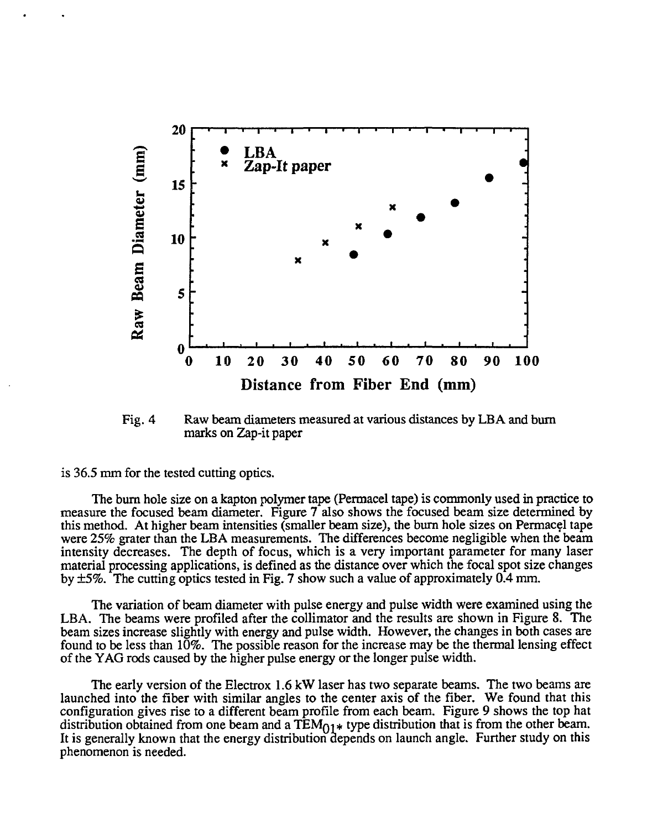

Fig. 4 Raw beam diameters measured at various distances by LBA and burn marks on Zap-it paper

is 36.5 mm for the tested cutting optics.

The burn hole size on a kapton polymer tape (Permacel tape) is commonly used in practice to measure the focused beam diameter. Figure 7 also shows the focused beam size determined by this method. At higher beam intensities (smaller beam size), the burn hole sizes on Permacel tape were 25% grater than the LBA measurements. The differences become negligible when the beam intensity decreases. The depth of focus, which is a very important parameter for many laser material processing applications, is defined as the distance over which the focal spot size changes by ±5%. The cutting optics tested in Fig. 7 show such a value of approximately 0.4 mm.

The variation of beam diameter with pulse energy and pulse width were examined using the LBA. The beams were profiled after the collimator and the results are shown in Figure 8. The beam sizes increase slightly with energy and pulse width. However, the changes in both cases are found to be less than 10%. The possible reason for the increase may be the thermal lensing effect of the YAG rods caused by the higher pulse energy or the longer pulse width.

The early version of the Electrox 1.6 kW laser has two separate beams. The two beams are launched into the fiber with similar angles to the center axis of the fiber. We found that this configuration gives rise to a different beam profile from each beam. Figure 9 shows the top hat distribution obtained from one beam and a  $TEM_{01}$  type distribution that is from the other beam. It is generally known that the energy distribution depends on launch angle. Further study on this phenomenon is needed.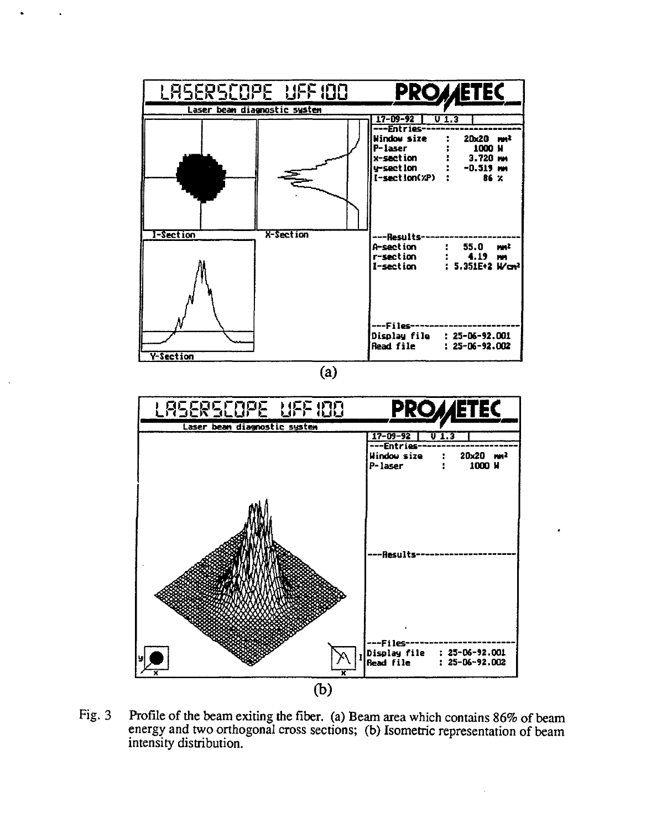

Fig. 3 Profile of the beam exiting the fiber, (a) Beam area which contains 86% of beam energy and two orthogonal cross sections; (b) Isometric representation of beam intensity distribution.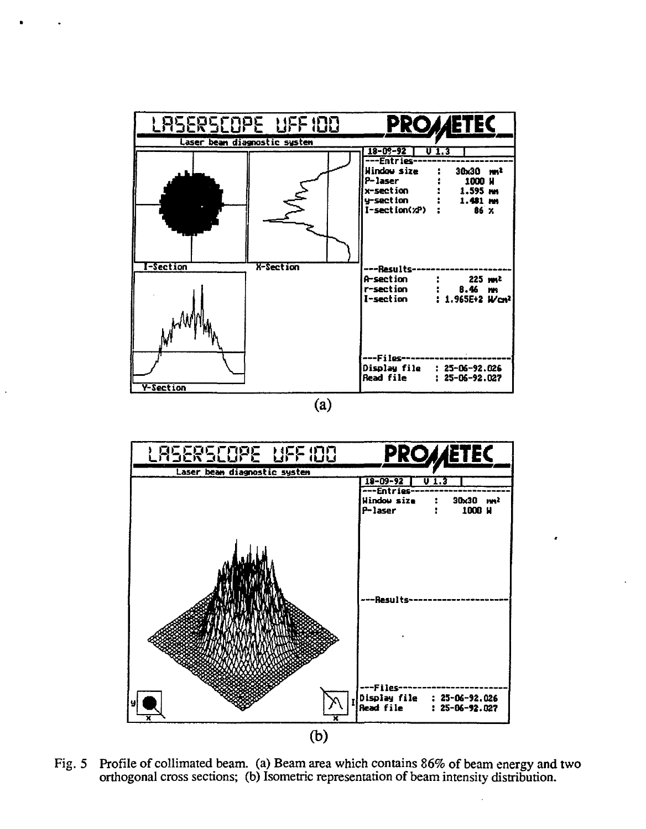



Fig. 5 Profile of collimated beam, (a) Beam area which contains 86% of beam energy and two orthogonal cross sections; (b) Isometric representation of beam intensity distribution.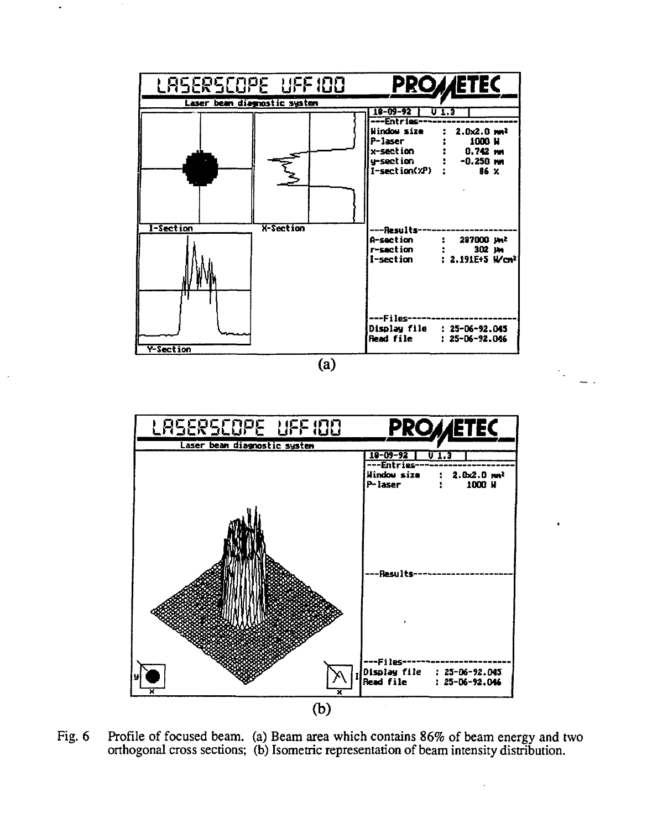

 $\ddot{\phantom{a}}$ 

 $\overline{a}$ 



Fig. 6 Profile of focused beam. (a) Beam area which contains 86% of beam energy and two orthogonal cross sections; (b) Isometric representation of beam intensity distribution.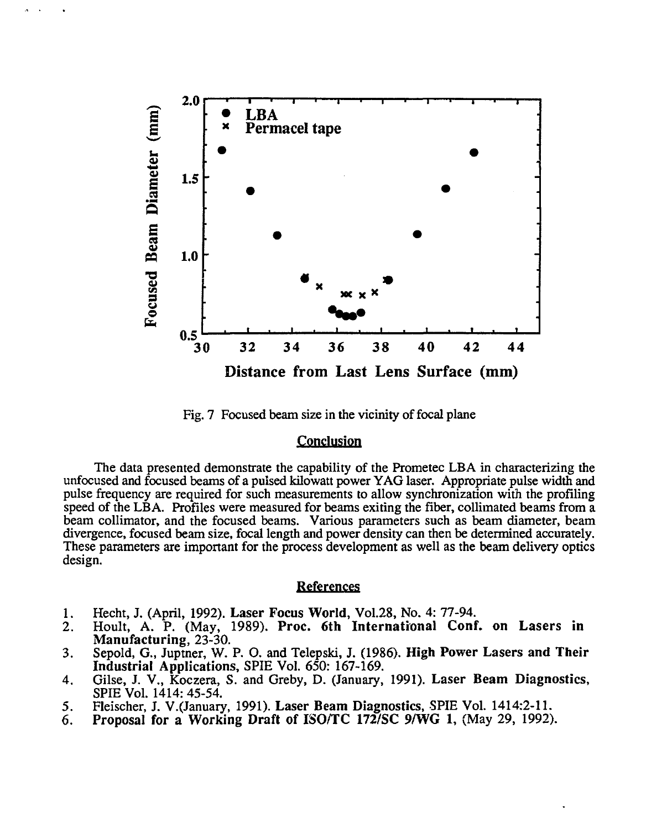

Fig. 7 Focused beam size in the vicinity of focal plane

#### **Conclusion**

The data presented demonstrate the capability of the Prometec LBA in characterizing the unfocused and focused beams of a pulsed kilowatt power YAG laser. Appropriate pulse width and pulse frequency are required for such measurements to allow synchronization with the profiling speed of the LBA. Profiles were measured for beams exiting the fiber, collimated beams from a beam collimator, and the focused beams. Various parameters such as beam diameter, beam divergence, focused beam size, focal length and power density can then be determined accurately. These parameters are important for the process development as well as the beam delivery optics design.

#### **References**

- **1**. Hecht, J. (April, 1992). **Laser Focus World,** Vol.28, No. 4: 77-94.
- 2. Hoult, A. P. (May, 1989). **Proc. 6th International Conf. on Lasers in Manufacturing,** 23-30.
- 3. Sepold, G., Juptner, W. P. O. and Telepski, J. (1986). **High Power Lasers and Their Industrial Applications,** SPIE Vol. 650: 167-169.
- 4. Gilse, J. V., Koczera, S. and Greby, **D.** (January, 1991). **Laser Beam Diagnostics,** SPIE Vol. 1414: 45-54.
- 5. Fleischer, J. V.(January, 1991). **Laser Beam Diagnostics,** SPIE Vol. 1414:2-11.
- 6. **Proposal for a Working Draft of ISO/TC 172/SC 9/WG 1,** (May 29, 1992).